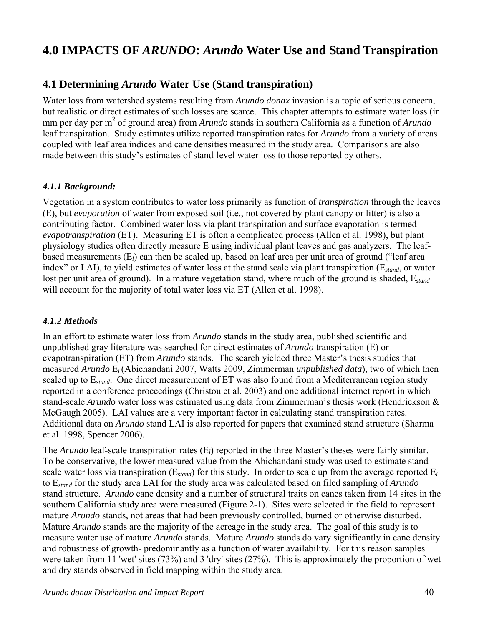# **4.0 IMPACTS OF** *ARUNDO***:** *Arundo* **Water Use and Stand Transpiration**

# **4.1 Determining** *Arundo* **Water Use (Stand transpiration)**

Water loss from watershed systems resulting from *Arundo donax* invasion is a topic of serious concern, but realistic or direct estimates of such losses are scarce. This chapter attempts to estimate water loss (in mm per day per m<sup>2</sup> of ground area) from *Arundo* stands in southern California as a function of *Arundo* leaf transpiration. Study estimates utilize reported transpiration rates for *Arundo* from a variety of areas coupled with leaf area indices and cane densities measured in the study area. Comparisons are also made between this study's estimates of stand-level water loss to those reported by others.

## *4.1.1 Background:*

Vegetation in a system contributes to water loss primarily as function of *transpiration* through the leaves (E), but *evaporation* of water from exposed soil (i.e., not covered by plant canopy or litter) is also a contributing factor. Combined water loss via plant transpiration and surface evaporation is termed *evapotranspiration* (ET). Measuring ET is often a complicated process (Allen et al. 1998), but plant physiology studies often directly measure E using individual plant leaves and gas analyzers. The leafbased measurements (E*l*) can then be scaled up, based on leaf area per unit area of ground ("leaf area index" or LAI), to yield estimates of water loss at the stand scale via plant transpiration (E*stand*, or water lost per unit area of ground). In a mature vegetation stand, where much of the ground is shaded, E*stand* will account for the majority of total water loss via ET (Allen et al. 1998).

## *4.1.2 Methods*

In an effort to estimate water loss from *Arundo* stands in the study area, published scientific and unpublished gray literature was searched for direct estimates of *Arundo* transpiration (E) or evapotranspiration (ET) from *Arundo* stands. The search yielded three Master's thesis studies that measured *Arundo* E*l* (Abichandani 2007, Watts 2009, Zimmerman *unpublished data*), two of which then scaled up to E*stand*. One direct measurement of ET was also found from a Mediterranean region study reported in a conference proceedings (Christou et al. 2003) and one additional internet report in which stand-scale *Arundo* water loss was estimated using data from Zimmerman's thesis work (Hendrickson & McGaugh 2005). LAI values are a very important factor in calculating stand transpiration rates. Additional data on *Arundo* stand LAI is also reported for papers that examined stand structure (Sharma et al. 1998, Spencer 2006).

The *Arundo* leaf-scale transpiration rates (E*l*) reported in the three Master's theses were fairly similar. To be conservative, the lower measured value from the Abichandani study was used to estimate standscale water loss via transpiration (E*stand*) for this study. In order to scale up from the average reported E*<sup>l</sup>* to E*stand* for the study area LAI for the study area was calculated based on filed sampling of *Arundo* stand structure. *Arundo* cane density and a number of structural traits on canes taken from 14 sites in the southern California study area were measured (Figure 2-1). Sites were selected in the field to represent mature *Arundo* stands, not areas that had been previously controlled, burned or otherwise disturbed. Mature *Arundo* stands are the majority of the acreage in the study area. The goal of this study is to measure water use of mature *Arundo* stands. Mature *Arundo* stands do vary significantly in cane density and robustness of growth- predominantly as a function of water availability. For this reason samples were taken from 11 'wet' sites (73%) and 3 'dry' sites (27%). This is approximately the proportion of wet and dry stands observed in field mapping within the study area.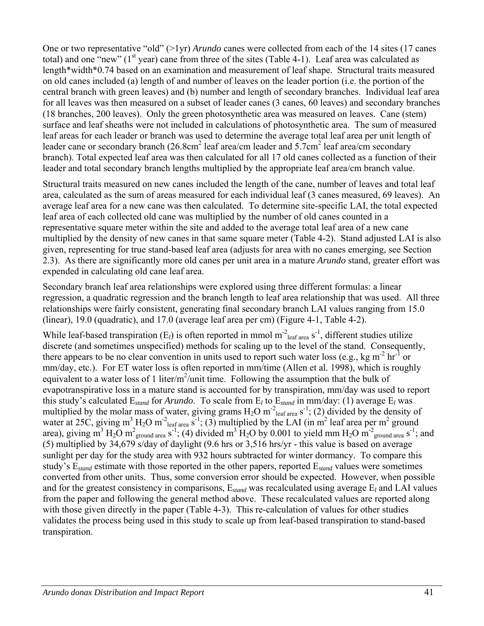One or two representative "old" (>1yr) *Arundo* canes were collected from each of the 14 sites (17 canes total) and one "new" ( $1<sup>st</sup>$  year) cane from three of the sites (Table 4-1). Leaf area was calculated as length\*width\*0.74 based on an examination and measurement of leaf shape. Structural traits measured on old canes included (a) length of and number of leaves on the leader portion (i.e. the portion of the central branch with green leaves) and (b) number and length of secondary branches. Individual leaf area for all leaves was then measured on a subset of leader canes (3 canes, 60 leaves) and secondary branches (18 branches, 200 leaves). Only the green photosynthetic area was measured on leaves. Cane (stem) surface and leaf sheaths were not included in calculations of photosynthetic area. The sum of measured leaf areas for each leader or branch was used to determine the average total leaf area per unit length of leader cane or secondary branch  $(26.8 \text{cm}^2 \text{ leaf area/cm} \text{ leader} \text{ and } 5.7 \text{cm}^2 \text{ leaf area/cm} \text{ secondary}$ branch). Total expected leaf area was then calculated for all 17 old canes collected as a function of their leader and total secondary branch lengths multiplied by the appropriate leaf area/cm branch value.

Structural traits measured on new canes included the length of the cane, number of leaves and total leaf area, calculated as the sum of areas measured for each individual leaf (3 canes measured, 69 leaves). An average leaf area for a new cane was then calculated. To determine site-specific LAI, the total expected leaf area of each collected old cane was multiplied by the number of old canes counted in a representative square meter within the site and added to the average total leaf area of a new cane multiplied by the density of new canes in that same square meter (Table 4-2). Stand adjusted LAI is also given, representing for true stand-based leaf area (adjusts for area with no canes emerging, see Section 2.3). As there are significantly more old canes per unit area in a mature *Arundo* stand, greater effort was expended in calculating old cane leaf area.

Secondary branch leaf area relationships were explored using three different formulas: a linear regression, a quadratic regression and the branch length to leaf area relationship that was used. All three relationships were fairly consistent, generating final secondary branch LAI values ranging from 15.0 (linear), 19.0 (quadratic), and 17.0 (average leaf area per cm) (Figure 4-1, Table 4-2).

While leaf-based transpiration  $(E_l)$  is often reported in mmol m<sup>-2</sup><sub>leaf area</sub> s<sup>-1</sup>, different studies utilize discrete (and sometimes unspecified) methods for scaling up to the level of the stand. Consequently, there appears to be no clear convention in units used to report such water loss (e.g., kg m<sup>-2</sup> hr<sup>-1</sup> or mm/day, etc.). For ET water loss is often reported in mm/time (Allen et al. 1998), which is roughly equivalent to a water loss of 1 liter/m<sup>2</sup>/unit time. Following the assumption that the bulk of evapotranspirative loss in a mature stand is accounted for by transpiration, mm/day was used to report this study's calculated  $E_{stand}$  for *Arundo*. To scale from  $E_l$  to  $E_{stand}$  in mm/day: (1) average  $E_l$  was multiplied by the molar mass of water, giving grams  $H_2O$  m<sup>-2</sup><sub>leaf area</sub> s<sup>-1</sup>; (2) divided by the density of water at 25C, giving m<sup>3</sup> H<sub>2</sub>O m<sup>-2</sup><sub>leaf area S<sup>-1</sup>; (3) multiplied by the LAI (in m<sup>2</sup> leaf area per m<sup>2</sup> ground</sub> area), giving m<sup>3</sup> H<sub>2</sub>O m<sup>2</sup><sub>ground area</sub> s<sup>-1</sup>; (4) divided m<sup>3</sup> H<sub>2</sub>O by 0.001 to yield mm H<sub>2</sub>O m<sup>-2</sup><sub>ground area</sub> s<sup>-1</sup>; and (5) multiplied by 34,679 s/day of daylight (9.6 hrs or 3,516 hrs/yr - this value is based on average sunlight per day for the study area with 932 hours subtracted for winter dormancy. To compare this study's E*stand* estimate with those reported in the other papers, reported E*stand* values were sometimes converted from other units. Thus, some conversion error should be expected. However, when possible and for the greatest consistency in comparisons, E*stand* was recalculated using average E*l* and LAI values from the paper and following the general method above. These recalculated values are reported along with those given directly in the paper (Table 4-3). This re-calculation of values for other studies validates the process being used in this study to scale up from leaf-based transpiration to stand-based transpiration.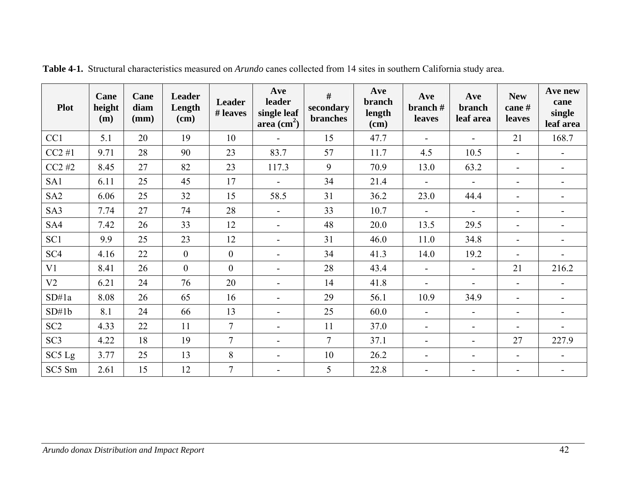| <b>Plot</b>     | Cane<br>height<br>(m) | Cane<br>diam<br>(mm) | Leader<br>Length<br>(cm) | Leader<br># leaves | Ave<br>leader<br>single leaf<br>area $\text{cm}^2$ ) | #<br>secondary<br><b>branches</b> | Ave<br>branch<br>length<br>$(cm)$ | Ave<br>branch#<br>leaves | Ave<br>branch<br>leaf area | <b>New</b><br>cane#<br>leaves | Ave new<br>cane<br>single<br>leaf area |
|-----------------|-----------------------|----------------------|--------------------------|--------------------|------------------------------------------------------|-----------------------------------|-----------------------------------|--------------------------|----------------------------|-------------------------------|----------------------------------------|
| CC1             | 5.1                   | 20                   | 19                       | 10                 | $\blacksquare$                                       | 15                                | 47.7                              |                          | $\overline{\phantom{a}}$   | 21                            | 168.7                                  |
| $CC2 \#1$       | 9.71                  | 28                   | 90                       | 23                 | 83.7                                                 | 57                                | 11.7                              | 4.5                      | 10.5                       |                               | $\blacksquare$                         |
| $CC2 \#2$       | 8.45                  | 27                   | 82                       | 23                 | 117.3                                                | 9                                 | 70.9                              | 13.0                     | 63.2                       | $\blacksquare$                | $\overline{\phantom{0}}$               |
| SA1             | 6.11                  | 25                   | 45                       | 17                 | $\overline{a}$                                       | 34                                | 21.4                              |                          | $\blacksquare$             | $\blacksquare$                | ۰                                      |
| SA <sub>2</sub> | 6.06                  | 25                   | 32                       | 15                 | 58.5                                                 | 31                                | 36.2                              | 23.0                     | 44.4                       | $\overline{a}$                |                                        |
| SA3             | 7.74                  | 27                   | 74                       | 28                 | $\blacksquare$                                       | 33                                | 10.7                              | $\overline{\phantom{a}}$ | $\overline{\phantom{a}}$   | $\overline{\phantom{a}}$      | $\overline{\phantom{a}}$               |
| SA4             | 7.42                  | 26                   | 33                       | 12                 | $\blacksquare$                                       | 48                                | 20.0                              | 13.5                     | 29.5                       | $\blacksquare$                |                                        |
| SC1             | 9.9                   | 25                   | 23                       | 12                 | $\blacksquare$                                       | 31                                | 46.0                              | 11.0                     | 34.8                       | $\overline{a}$                |                                        |
| SC <sub>4</sub> | 4.16                  | 22                   | $\overline{0}$           | $\boldsymbol{0}$   | $\overline{\phantom{a}}$                             | 34                                | 41.3                              | 14.0                     | 19.2                       |                               |                                        |
| V1              | 8.41                  | 26                   | $\overline{0}$           | $\overline{0}$     | $\sim$                                               | 28                                | 43.4                              | $\blacksquare$           | $\blacksquare$             | 21                            | 216.2                                  |
| V <sub>2</sub>  | 6.21                  | 24                   | 76                       | 20                 | $\blacksquare$                                       | 14                                | 41.8                              | $\blacksquare$           | $\blacksquare$             | $\blacksquare$                |                                        |
| SD#1a           | 8.08                  | 26                   | 65                       | 16                 | $\overline{\phantom{a}}$                             | 29                                | 56.1                              | 10.9                     | 34.9                       | $\blacksquare$                | $\overline{\phantom{a}}$               |
| SD#1b           | 8.1                   | 24                   | 66                       | 13                 | $\overline{\phantom{a}}$                             | 25                                | 60.0                              | $\overline{\phantom{a}}$ | $\overline{\phantom{a}}$   | $\blacksquare$                |                                        |
| SC <sub>2</sub> | 4.33                  | 22                   | 11                       | $\overline{7}$     | $\overline{\phantom{a}}$                             | 11                                | 37.0                              | $\overline{\phantom{a}}$ | $\overline{\phantom{a}}$   | $\blacksquare$                | $\blacksquare$                         |
| SC <sub>3</sub> | 4.22                  | 18                   | 19                       | $\overline{7}$     | $\overline{\phantom{0}}$                             | $\overline{7}$                    | 37.1                              | $\overline{\phantom{a}}$ | $\blacksquare$             | 27                            | 227.9                                  |
| SC5 Lg          | 3.77                  | 25                   | 13                       | 8                  | $\blacksquare$                                       | 10                                | 26.2                              | $\overline{\phantom{0}}$ | $\blacksquare$             | $\blacksquare$                |                                        |
| SC5 Sm          | 2.61                  | 15                   | 12                       | $\overline{7}$     | $\overline{\phantom{a}}$                             | 5                                 | 22.8                              | $\overline{a}$           | $\blacksquare$             | $\blacksquare$                | $\overline{\phantom{a}}$               |

**Table 4-1.** Structural characteristics measured on *Arundo* canes collected from 14 sites in southern California study area.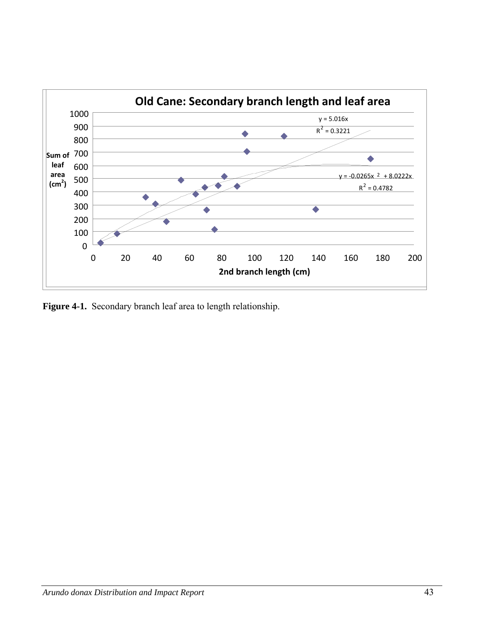

**Figure 4-1.** Secondary branch leaf area to length relationship.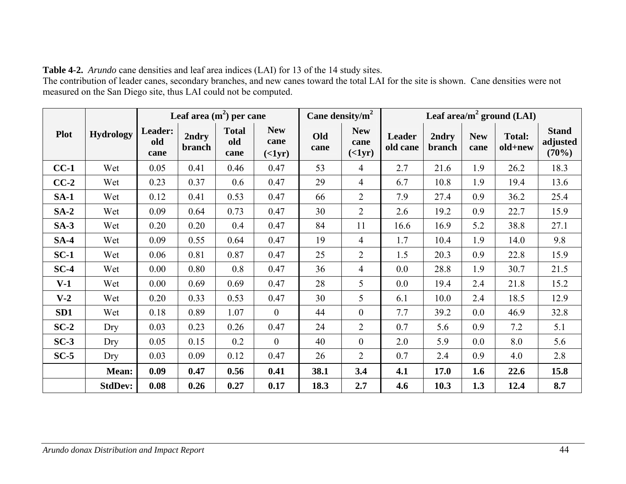| <b>Table 4-2.</b> Arundo cane densities and leaf area indices (LAI) for 13 of the 14 study sites.                                       |
|-----------------------------------------------------------------------------------------------------------------------------------------|
| The contribution of leader canes, secondary branches, and new canes toward the total LAI for the site is shown. Cane densities were not |
| measured on the San Diego site, thus LAI could not be computed.                                                                         |

|                 |                  |                        | Leaf area $(m2)$ per cane |                             |                         | Cane density/ $m^2$ |                         | Leaf area/ $m^2$ ground (LAI) |                 |                    |                          |                                   |
|-----------------|------------------|------------------------|---------------------------|-----------------------------|-------------------------|---------------------|-------------------------|-------------------------------|-----------------|--------------------|--------------------------|-----------------------------------|
| <b>Plot</b>     | <b>Hydrology</b> | Leader:<br>old<br>cane | 2ndry<br>branch           | <b>Total</b><br>old<br>cane | <b>New</b><br>cane<br>( | Old<br>cane         | <b>New</b><br>cane<br>( | Leader<br>old cane            | 2ndry<br>branch | <b>New</b><br>cane | <b>Total:</b><br>old+new | <b>Stand</b><br>adjusted<br>(70%) |
| $CC-1$          | Wet              | 0.05                   | 0.41                      | 0.46                        | 0.47                    | 53                  | $\overline{4}$          | 2.7                           | 21.6            | 1.9                | 26.2                     | 18.3                              |
| $CC-2$          | Wet              | 0.23                   | 0.37                      | 0.6                         | 0.47                    | 29                  | $\overline{4}$          | 6.7                           | 10.8            | 1.9                | 19.4                     | 13.6                              |
| $SA-1$          | Wet              | 0.12                   | 0.41                      | 0.53                        | 0.47                    | 66                  | $\overline{2}$          | 7.9                           | 27.4            | 0.9                | 36.2                     | 25.4                              |
| $SA-2$          | Wet              | 0.09                   | 0.64                      | 0.73                        | 0.47                    | 30                  | $\overline{2}$          | 2.6                           | 19.2            | 0.9                | 22.7                     | 15.9                              |
| $SA-3$          | Wet              | 0.20                   | 0.20                      | 0.4                         | 0.47                    | 84                  | 11                      | 16.6                          | 16.9            | 5.2                | 38.8                     | 27.1                              |
| $SA-4$          | Wet              | 0.09                   | 0.55                      | 0.64                        | 0.47                    | 19                  | $\overline{4}$          | 1.7                           | 10.4            | 1.9                | 14.0                     | 9.8                               |
| $SC-1$          | Wet              | 0.06                   | 0.81                      | 0.87                        | 0.47                    | 25                  | $\overline{2}$          | 1.5                           | 20.3            | 0.9                | 22.8                     | 15.9                              |
| $SC-4$          | Wet              | 0.00                   | 0.80                      | 0.8                         | 0.47                    | 36                  | 4                       | 0.0                           | 28.8            | 1.9                | 30.7                     | 21.5                              |
| $V-1$           | Wet              | 0.00                   | 0.69                      | 0.69                        | 0.47                    | 28                  | 5                       | 0.0                           | 19.4            | 2.4                | 21.8                     | 15.2                              |
| $V-2$           | Wet              | 0.20                   | 0.33                      | 0.53                        | 0.47                    | 30                  | 5                       | 6.1                           | 10.0            | 2.4                | 18.5                     | 12.9                              |
| SD <sub>1</sub> | Wet              | 0.18                   | 0.89                      | 1.07                        | $\mathbf{0}$            | 44                  | $\mathbf{0}$            | 7.7                           | 39.2            | 0.0                | 46.9                     | 32.8                              |
| $SC-2$          | Dry              | 0.03                   | 0.23                      | 0.26                        | 0.47                    | 24                  | $\overline{2}$          | 0.7                           | 5.6             | 0.9                | 7.2                      | 5.1                               |
| $SC-3$          | Dry              | 0.05                   | 0.15                      | 0.2                         | $\mathbf{0}$            | 40                  | $\mathbf{0}$            | 2.0                           | 5.9             | 0.0                | 8.0                      | 5.6                               |
| $SC-5$          | Dry              | 0.03                   | 0.09                      | 0.12                        | 0.47                    | 26                  | $\overline{2}$          | 0.7                           | 2.4             | 0.9                | 4.0                      | 2.8                               |
|                 | Mean:            | 0.09                   | 0.47                      | 0.56                        | 0.41                    | 38.1                | 3.4                     | 4.1                           | 17.0            | 1.6                | 22.6                     | 15.8                              |
|                 | <b>StdDev:</b>   | 0.08                   | 0.26                      | 0.27                        | 0.17                    | 18.3                | 2.7                     | 4.6                           | 10.3            | 1.3                | 12.4                     | 8.7                               |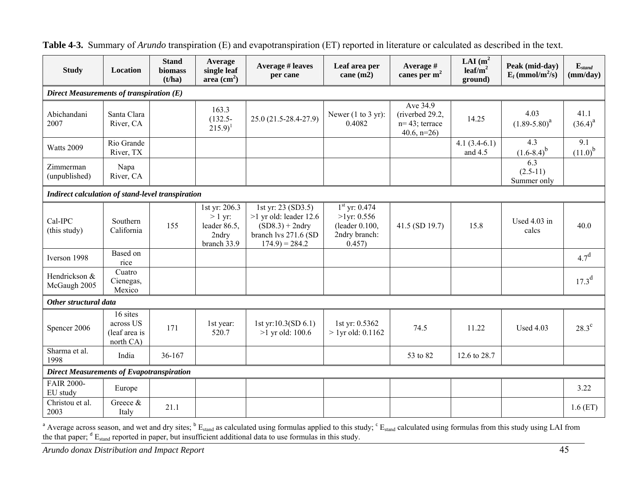| <b>Study</b>                                      | Location                                            | <b>Stand</b><br>biomass<br>(t/ha) | Average<br>single leaf<br>area $\text{cm}^2$ )                     | <b>Average # leaves</b><br>per cane                                                                              | Leaf area per<br>cane $(m2)$                                                   | Average #<br>canes per $m2$                                     | LAI $(m^2)$<br>leaf/m <sup>2</sup><br>ground) | Peak (mid-day)<br>$E_l$ (mmol/m <sup>2</sup> /s) | $\mathbf{E}_{stand}$<br>(mm/day) |  |  |  |
|---------------------------------------------------|-----------------------------------------------------|-----------------------------------|--------------------------------------------------------------------|------------------------------------------------------------------------------------------------------------------|--------------------------------------------------------------------------------|-----------------------------------------------------------------|-----------------------------------------------|--------------------------------------------------|----------------------------------|--|--|--|
| Direct Measurements of transpiration (E)          |                                                     |                                   |                                                                    |                                                                                                                  |                                                                                |                                                                 |                                               |                                                  |                                  |  |  |  |
| Abichandani<br>2007                               | Santa Clara<br>River, CA                            |                                   | 163.3<br>$(132.5 -$<br>$(215.9)^1$                                 | 25.0 (21.5-28.4-27.9)                                                                                            | Newer $(1 to 3 yr)$ :<br>0.4082                                                | Ave 34.9<br>(riverbed 29.2,<br>$n=43$ ; terrace<br>40.6, $n=26$ | 14.25                                         | 4.03<br>$(1.89 - 5.80)^a$                        | 41.1<br>$(36.4)^{a}$             |  |  |  |
| Watts 2009                                        | Rio Grande<br>River, TX                             |                                   |                                                                    |                                                                                                                  |                                                                                |                                                                 | $4.1(3.4-6.1)$<br>and $4.5$                   | 4.3<br>$(1.6-8.4)^{b}$                           | 9.1<br>$(11.0)^{b}$              |  |  |  |
| Zimmerman<br>(unpublished)                        | Napa<br>River, CA                                   |                                   |                                                                    |                                                                                                                  |                                                                                |                                                                 |                                               | 6.3<br>$(2.5-11)$<br>Summer only                 |                                  |  |  |  |
| Indirect calculation of stand-level transpiration |                                                     |                                   |                                                                    |                                                                                                                  |                                                                                |                                                                 |                                               |                                                  |                                  |  |  |  |
| Cal-IPC<br>(this study)                           | Southern<br>California                              | 155                               | 1st yr: 206.3<br>$> 1$ yr:<br>leader 86.5,<br>2ndry<br>branch 33.9 | 1st yr: 23 (SD3.5)<br>$>1$ yr old: leader 12.6<br>$(SD8.3) + 2ndry$<br>branch lvs 271.6 (SD<br>$174.9$ ) = 284.2 | $1st$ yr: 0.474<br>$>1$ yr: 0.556<br>(leader 0.100,<br>2ndry branch:<br>0.457) | 41.5 (SD 19.7)                                                  | 15.8                                          | Used 4.03 in<br>calcs                            | 40.0                             |  |  |  |
| Iverson 1998                                      | Based on<br>rice                                    |                                   |                                                                    |                                                                                                                  |                                                                                |                                                                 |                                               |                                                  | 4.7 <sup>d</sup>                 |  |  |  |
| Hendrickson &<br>McGaugh 2005                     | Cuatro<br>Cienegas,<br>Mexico                       |                                   |                                                                    |                                                                                                                  |                                                                                |                                                                 |                                               |                                                  | $17.3^d$                         |  |  |  |
| Other structural data                             |                                                     |                                   |                                                                    |                                                                                                                  |                                                                                |                                                                 |                                               |                                                  |                                  |  |  |  |
| Spencer 2006                                      | 16 sites<br>across US<br>(leaf area is<br>north CA) | 171                               | 1st year:<br>520.7                                                 | 1st yr:10.3(SD 6.1)<br>$>1$ yr old: 100.6                                                                        | 1st yr: 0.5362<br>$> 1$ yr old: 0.1162                                         | 74.5                                                            | 11.22                                         | <b>Used 4.03</b>                                 | $28.3^{\circ}$                   |  |  |  |
| Sharma et al.<br>1998                             | India                                               | 36-167                            |                                                                    |                                                                                                                  |                                                                                | 53 to 82                                                        | 12.6 to 28.7                                  |                                                  |                                  |  |  |  |
| <b>Direct Measurements of Evapotranspiration</b>  |                                                     |                                   |                                                                    |                                                                                                                  |                                                                                |                                                                 |                                               |                                                  |                                  |  |  |  |
| <b>FAIR 2000-</b><br>EU study                     | Europe                                              |                                   |                                                                    |                                                                                                                  |                                                                                |                                                                 |                                               |                                                  | 3.22                             |  |  |  |
| Christou et al.<br>2003                           | Greece &<br>Italy                                   | 21.1                              |                                                                    |                                                                                                                  |                                                                                |                                                                 |                                               |                                                  | 1.6(ET)                          |  |  |  |

**Table 4-3.** Summary of *Arundo* transpiration (E) and evapotranspiration (ET) reported in literature or calculated as described in the text.

<sup>a</sup> Average across season, and wet and dry sites;  $B_{\text{Standard}}$  as calculated using formulas applied to this study;  $C_{\text{Standard}}$  calculated using formulas from this study using LAI from the that paper;  $d E_{\text{stand}}$  reported in paper, but insufficient additional data to use formulas in this study.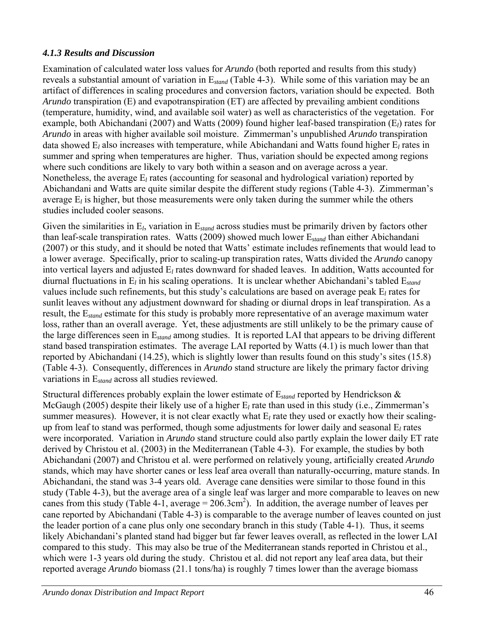### *4.1.3 Results and Discussion*

Examination of calculated water loss values for *Arundo* (both reported and results from this study) reveals a substantial amount of variation in E*stand* (Table 4-3). While some of this variation may be an artifact of differences in scaling procedures and conversion factors, variation should be expected. Both *Arundo* transpiration (E) and evapotranspiration (ET) are affected by prevailing ambient conditions (temperature, humidity, wind, and available soil water) as well as characteristics of the vegetation. For example, both Abichandani (2007) and Watts (2009) found higher leaf-based transpiration (E*l*) rates for *Arundo* in areas with higher available soil moisture. Zimmerman's unpublished *Arundo* transpiration data showed E*l* also increases with temperature, while Abichandani and Watts found higher E*l* rates in summer and spring when temperatures are higher. Thus, variation should be expected among regions where such conditions are likely to vary both within a season and on average across a year. Nonetheless, the average E*l* rates (accounting for seasonal and hydrological variation) reported by Abichandani and Watts are quite similar despite the different study regions (Table 4-3). Zimmerman's average E*l* is higher, but those measurements were only taken during the summer while the others studies included cooler seasons.

Given the similarities in E*l*, variation in E*stand* across studies must be primarily driven by factors other than leaf-scale transpiration rates. Watts (2009) showed much lower E*stand* than either Abichandani (2007) or this study, and it should be noted that Watts' estimate includes refinements that would lead to a lower average. Specifically, prior to scaling-up transpiration rates, Watts divided the *Arundo* canopy into vertical layers and adjusted E*l* rates downward for shaded leaves. In addition, Watts accounted for diurnal fluctuations in E*l* in his scaling operations. It is unclear whether Abichandani's tabled E*stand* values include such refinements, but this study's calculations are based on average peak E*l* rates for sunlit leaves without any adjustment downward for shading or diurnal drops in leaf transpiration. As a result, the E*stand* estimate for this study is probably more representative of an average maximum water loss, rather than an overall average. Yet, these adjustments are still unlikely to be the primary cause of the large differences seen in E*stand* among studies. It is reported LAI that appears to be driving different stand based transpiration estimates. The average LAI reported by Watts (4.1) is much lower than that reported by Abichandani (14.25), which is slightly lower than results found on this study's sites (15.8) (Table 4-3). Consequently, differences in *Arundo* stand structure are likely the primary factor driving variations in E*stand* across all studies reviewed.

Structural differences probably explain the lower estimate of E*stand* reported by Hendrickson & McGaugh (2005) despite their likely use of a higher E*l* rate than used in this study (i.e., Zimmerman's summer measures). However, it is not clear exactly what  $E_l$  rate they used or exactly how their scalingup from leaf to stand was performed, though some adjustments for lower daily and seasonal E*l* rates were incorporated. Variation in *Arundo* stand structure could also partly explain the lower daily ET rate derived by Christou et al. (2003) in the Mediterranean (Table 4-3). For example, the studies by both Abichandani (2007) and Christou et al. were performed on relatively young, artificially created *Arundo* stands, which may have shorter canes or less leaf area overall than naturally-occurring, mature stands. In Abichandani, the stand was 3-4 years old. Average cane densities were similar to those found in this study (Table 4-3), but the average area of a single leaf was larger and more comparable to leaves on new canes from this study (Table 4-1, average =  $206.3 \text{cm}^2$ ). In addition, the average number of leaves per cane reported by Abichandani (Table 4-3) is comparable to the average number of leaves counted on just the leader portion of a cane plus only one secondary branch in this study (Table 4-1). Thus, it seems likely Abichandani's planted stand had bigger but far fewer leaves overall, as reflected in the lower LAI compared to this study. This may also be true of the Mediterranean stands reported in Christou et al., which were 1-3 years old during the study. Christou et al. did not report any leaf area data, but their reported average *Arundo* biomass (21.1 tons/ha) is roughly 7 times lower than the average biomass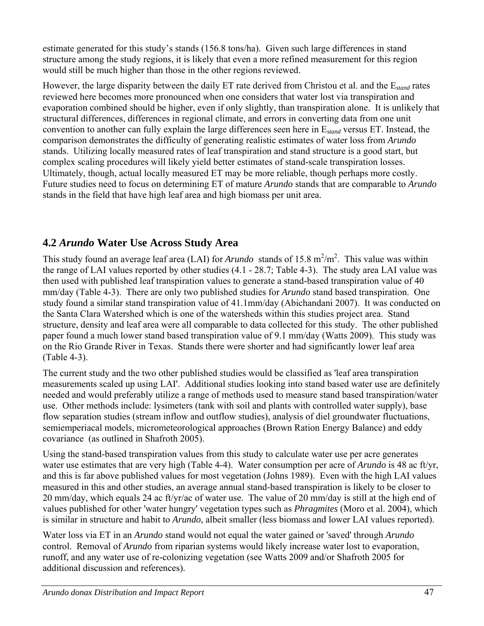estimate generated for this study's stands (156.8 tons/ha). Given such large differences in stand structure among the study regions, it is likely that even a more refined measurement for this region would still be much higher than those in the other regions reviewed.

However, the large disparity between the daily ET rate derived from Christou et al. and the E*stand* rates reviewed here becomes more pronounced when one considers that water lost via transpiration and evaporation combined should be higher, even if only slightly, than transpiration alone. It is unlikely that structural differences, differences in regional climate, and errors in converting data from one unit convention to another can fully explain the large differences seen here in E*stand* versus ET. Instead, the comparison demonstrates the difficulty of generating realistic estimates of water loss from *Arundo* stands. Utilizing locally measured rates of leaf transpiration and stand structure is a good start, but complex scaling procedures will likely yield better estimates of stand-scale transpiration losses. Ultimately, though, actual locally measured ET may be more reliable, though perhaps more costly. Future studies need to focus on determining ET of mature *Arundo* stands that are comparable to *Arundo* stands in the field that have high leaf area and high biomass per unit area.

# **4.2** *Arundo* **Water Use Across Study Area**

This study found an average leaf area (LAI) for *Arundo* stands of 15.8  $m^2/m^2$ . This value was within the range of LAI values reported by other studies (4.1 - 28.7; Table 4-3). The study area LAI value was then used with published leaf transpiration values to generate a stand-based transpiration value of 40 mm/day (Table 4-3). There are only two published studies for *Arundo* stand based transpiration. One study found a similar stand transpiration value of 41.1mm/day (Abichandani 2007). It was conducted on the Santa Clara Watershed which is one of the watersheds within this studies project area. Stand structure, density and leaf area were all comparable to data collected for this study. The other published paper found a much lower stand based transpiration value of 9.1 mm/day (Watts 2009). This study was on the Rio Grande River in Texas. Stands there were shorter and had significantly lower leaf area (Table 4-3).

The current study and the two other published studies would be classified as 'leaf area transpiration measurements scaled up using LAI'. Additional studies looking into stand based water use are definitely needed and would preferably utilize a range of methods used to measure stand based transpiration/water use. Other methods include: lysimeters (tank with soil and plants with controlled water supply), base flow separation studies (stream inflow and outflow studies), analysis of diel groundwater fluctuations, semiemperiacal models, micrometeorological approaches (Brown Ration Energy Balance) and eddy covariance (as outlined in Shafroth 2005).

Using the stand-based transpiration values from this study to calculate water use per acre generates water use estimates that are very high (Table 4-4). Water consumption per acre of *Arundo* is 48 ac ft/yr, and this is far above published values for most vegetation (Johns 1989). Even with the high LAI values measured in this and other studies, an average annual stand-based transpiration is likely to be closer to 20 mm/day, which equals 24 ac ft/yr/ac of water use. The value of 20 mm/day is still at the high end of values published for other 'water hungry' vegetation types such as *Phragmites* (Moro et al. 2004), which is similar in structure and habit to *Arundo*, albeit smaller (less biomass and lower LAI values reported).

Water loss via ET in an *Arundo* stand would not equal the water gained or 'saved' through *Arundo* control. Removal of *Arundo* from riparian systems would likely increase water lost to evaporation, runoff, and any water use of re-colonizing vegetation (see Watts 2009 and/or Shafroth 2005 for additional discussion and references).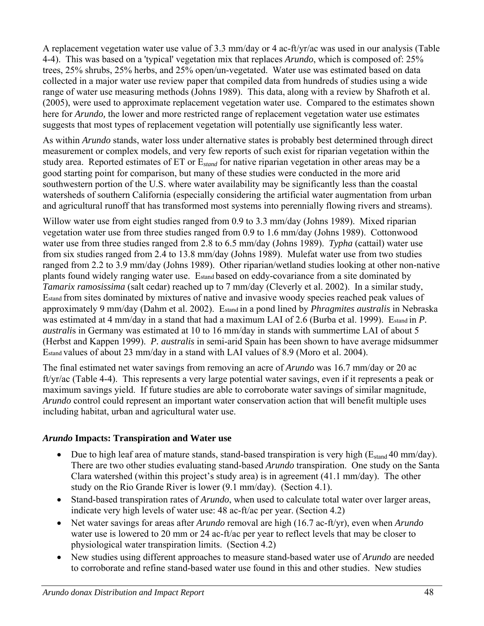A replacement vegetation water use value of 3.3 mm/day or 4 ac-ft/yr/ac was used in our analysis (Table 4-4). This was based on a 'typical' vegetation mix that replaces *Arundo*, which is composed of: 25% trees, 25% shrubs, 25% herbs, and 25% open/un-vegetated. Water use was estimated based on data collected in a major water use review paper that compiled data from hundreds of studies using a wide range of water use measuring methods (Johns 1989). This data, along with a review by Shafroth et al. (2005), were used to approximate replacement vegetation water use. Compared to the estimates shown here for *Arundo,* the lower and more restricted range of replacement vegetation water use estimates suggests that most types of replacement vegetation will potentially use significantly less water.

As within *Arundo* stands, water loss under alternative states is probably best determined through direct measurement or complex models, and very few reports of such exist for riparian vegetation within the study area. Reported estimates of ET or E*stand* for native riparian vegetation in other areas may be a good starting point for comparison, but many of these studies were conducted in the more arid southwestern portion of the U.S. where water availability may be significantly less than the coastal watersheds of southern California (especially considering the artificial water augmentation from urban and agricultural runoff that has transformed most systems into perennially flowing rivers and streams).

Willow water use from eight studies ranged from 0.9 to 3.3 mm/day (Johns 1989). Mixed riparian vegetation water use from three studies ranged from 0.9 to 1.6 mm/day (Johns 1989). Cottonwood water use from three studies ranged from 2.8 to 6.5 mm/day (Johns 1989). *Typha* (cattail) water use from six studies ranged from 2.4 to 13.8 mm/day (Johns 1989). Mulefat water use from two studies ranged from 2.2 to 3.9 mm/day (Johns 1989). Other riparian/wetland studies looking at other non-native plants found widely ranging water use. Estand based on eddy-covariance from a site dominated by *Tamarix ramosissima* (salt cedar) reached up to 7 mm/day (Cleverly et al. 2002). In a similar study, Estand from sites dominated by mixtures of native and invasive woody species reached peak values of approximately 9 mm/day (Dahm et al. 2002). Estand in a pond lined by *Phragmites australis* in Nebraska was estimated at 4 mm/day in a stand that had a maximum LAI of 2.6 (Burba et al. 1999). Estand in *P. australi*s in Germany was estimated at 10 to 16 mm/day in stands with summertime LAI of about 5 (Herbst and Kappen 1999). *P. australis* in semi-arid Spain has been shown to have average midsummer Estand values of about 23 mm/day in a stand with LAI values of 8.9 (Moro et al. 2004).

The final estimated net water savings from removing an acre of *Arundo* was 16.7 mm/day or 20 ac ft/yr/ac (Table 4-4). This represents a very large potential water savings, even if it represents a peak or maximum savings yield. If future studies are able to corroborate water savings of similar magnitude, *Arundo* control could represent an important water conservation action that will benefit multiple uses including habitat, urban and agricultural water use.

### *Arundo* **Impacts: Transpiration and Water use**

- Due to high leaf area of mature stands, stand-based transpiration is very high ( $E<sub>stand</sub>$  40 mm/day). There are two other studies evaluating stand-based *Arundo* transpiration. One study on the Santa Clara watershed (within this project's study area) is in agreement (41.1 mm/day). The other study on the Rio Grande River is lower (9.1 mm/day). (Section 4.1).
- Stand-based transpiration rates of *Arundo*, when used to calculate total water over larger areas, indicate very high levels of water use: 48 ac-ft/ac per year. (Section 4.2)
- Net water savings for areas after *Arundo* removal are high (16.7 ac-ft/yr), even when *Arundo* water use is lowered to 20 mm or 24 ac-ft/ac per year to reflect levels that may be closer to physiological water transpiration limits. (Section 4.2)
- New studies using different approaches to measure stand-based water use of *Arundo* are needed to corroborate and refine stand-based water use found in this and other studies. New studies